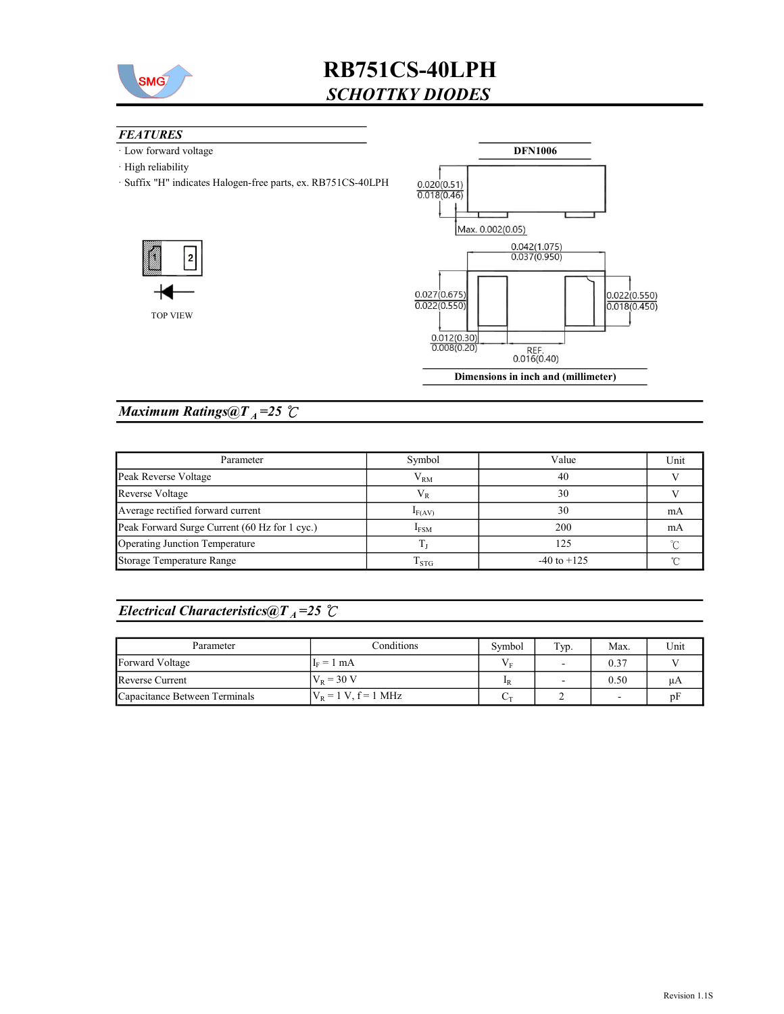

## **FEATURES**

- · Low forward voltage
- · High reliability
- · Suffix "H" indicates Halogen-free parts, ex. RB751CS-40LPH





### Maximum Ratings@ $T_A = 25$  °C

| Parameter                                     | Symbol           | Value           | Unit |
|-----------------------------------------------|------------------|-----------------|------|
| Peak Reverse Voltage                          | $\rm V_{RM}$     | 40              |      |
| Reverse Voltage                               | V <sub>R</sub>   | 30              |      |
| Average rectified forward current             | $I_{F(AV)}$      | 30              | mA   |
| Peak Forward Surge Current (60 Hz for 1 cyc.) | I <sub>FSM</sub> | 200             | mA   |
| Operating Junction Temperature                |                  | 125             |      |
| Storage Temperature Range                     | $1$ STG          | $-40$ to $+125$ |      |

### Electrical Characteristics@T<sub>A</sub>=25  $\mathcal{C}$

| Parameter                     | Conditions             | Symbol      | Typ.                     | Max.                     | Unit |
|-------------------------------|------------------------|-------------|--------------------------|--------------------------|------|
| Forward Voltage               | $I_F = 1$ mA           | Vг          | $\overline{\phantom{0}}$ | 0.37                     |      |
| Reverse Current               | $V_{R} = 30 V$         | $_{\rm 1R}$ | $\overline{\phantom{0}}$ | 0.50                     | uA   |
| Capacitance Between Terminals | $V_R = 1 V, f = 1 MHz$ | Üт          |                          | $\overline{\phantom{a}}$ | pF   |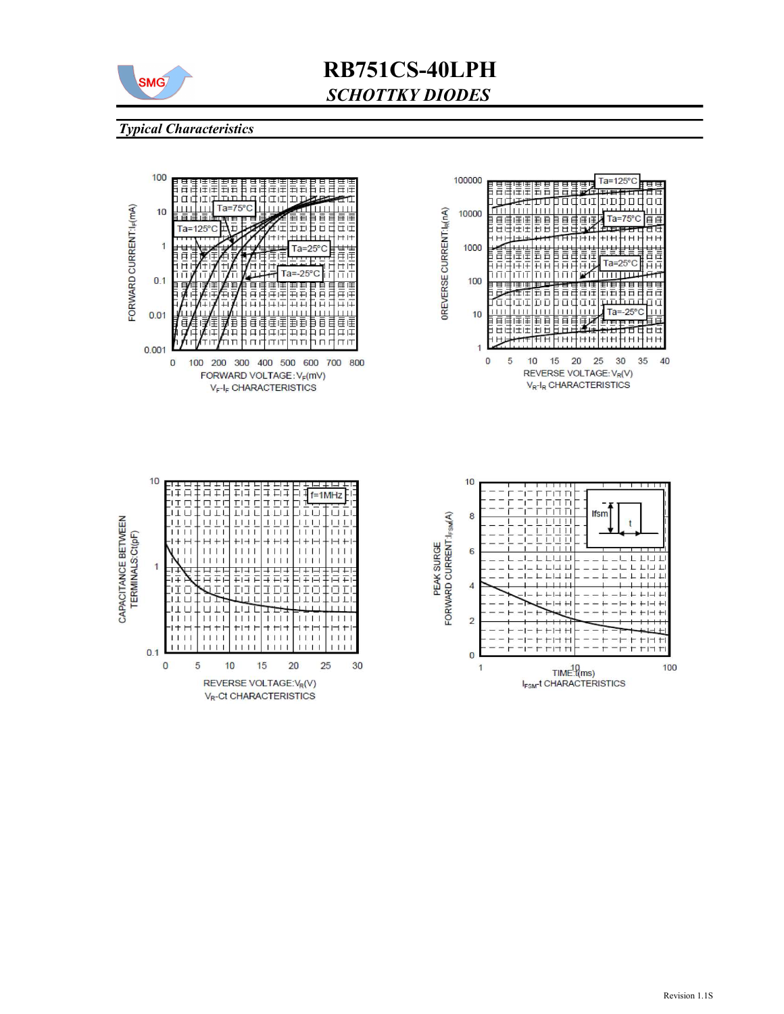

#### Typical Characteristics

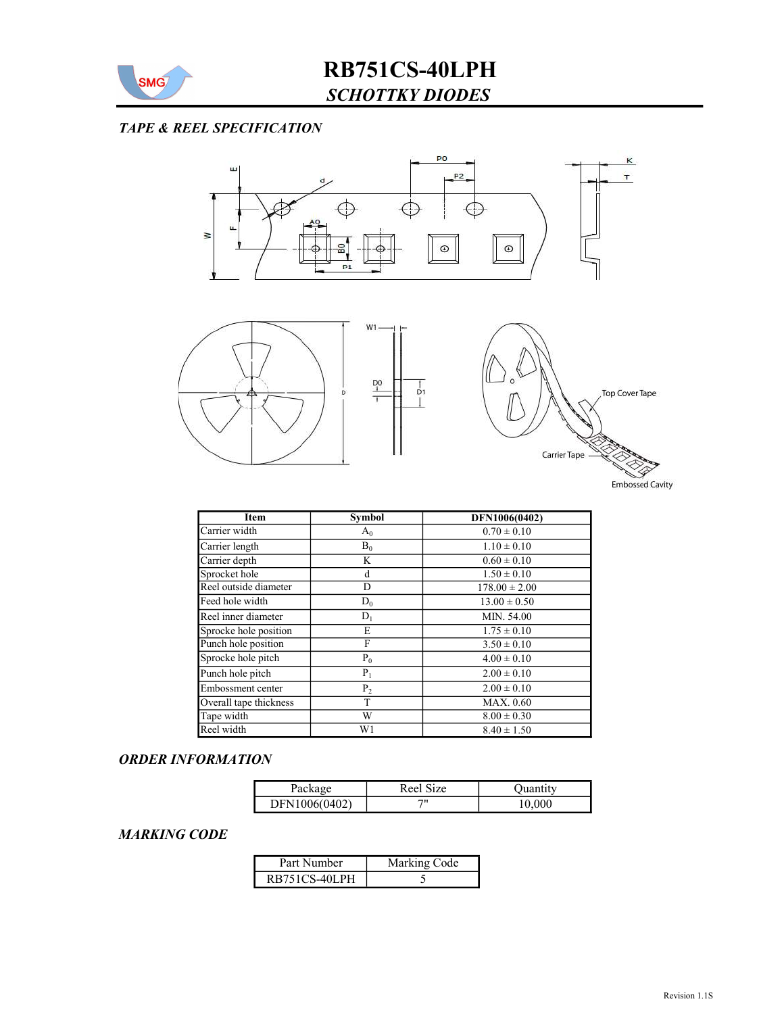

# TAPE & REEL SPECIFICATION



| Item                   | <b>Symbol</b>  | DFN1006(0402)     |
|------------------------|----------------|-------------------|
| Carrier width          | $A_0$          | $0.70 \pm 0.10$   |
| Carrier length         | $B_0$          | $1.10 \pm 0.10$   |
| Carrier depth          | K              | $0.60 \pm 0.10$   |
| Sprocket hole          | d              | $1.50 \pm 0.10$   |
| Reel outside diameter  | D              | $178.00 \pm 2.00$ |
| Feed hole width        | $D_0$          | $13.00 \pm 0.50$  |
| Reel inner diameter    | $D_1$          | MIN. 54.00        |
| Sprocke hole position  | E              | $1.75 \pm 0.10$   |
| Punch hole position    | F              | $3.50 \pm 0.10$   |
| Sprocke hole pitch     | $P_0$          | $4.00 \pm 0.10$   |
| Punch hole pitch       | $P_1$          | $2.00 \pm 0.10$   |
| Embossment center      | P <sub>2</sub> | $2.00 \pm 0.10$   |
| Overall tape thickness | T              | <b>MAX. 0.60</b>  |
| Tape width             | W              | $8.00 \pm 0.30$   |
| Reel width             | W1             | $8.40 \pm 1.50$   |

#### ORDER INFORMATION

| Package       | $\sim$<br>S <sub>17</sub> e<br>Reel : | Juantıtv |
|---------------|---------------------------------------|----------|
| DFN1006(0402) | יי                                    | 0.000    |

## MARKING CODE

| Part Number   | Marking Code |
|---------------|--------------|
| RB751CS-40LPH |              |